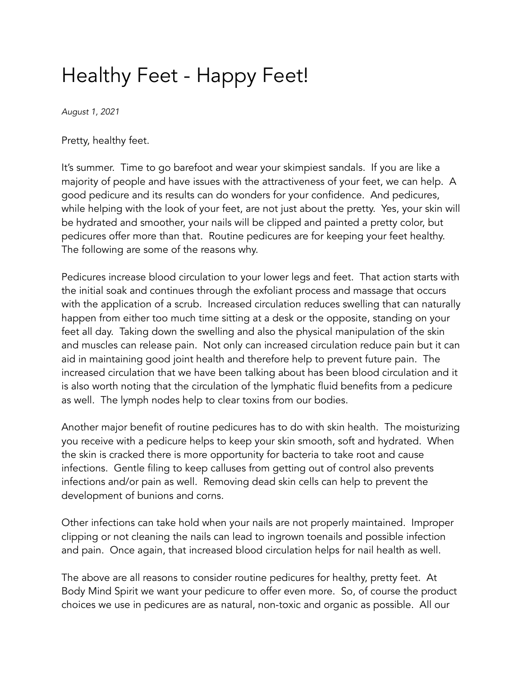## Healthy Feet - Happy Feet!

*August 1, 2021*

Pretty, healthy feet.

It's summer. Time to go barefoot and wear your skimpiest sandals. If you are like a majority of people and have issues with the attractiveness of your feet, we can help. A good pedicure and its results can do wonders for your confidence. And pedicures, while helping with the look of your feet, are not just about the pretty. Yes, your skin will be hydrated and smoother, your nails will be clipped and painted a pretty color, but pedicures offer more than that. Routine pedicures are for keeping your feet healthy. The following are some of the reasons why.

Pedicures increase blood circulation to your lower legs and feet. That action starts with the initial soak and continues through the exfoliant process and massage that occurs with the application of a scrub. Increased circulation reduces swelling that can naturally happen from either too much time sitting at a desk or the opposite, standing on your feet all day. Taking down the swelling and also the physical manipulation of the skin and muscles can release pain. Not only can increased circulation reduce pain but it can aid in maintaining good joint health and therefore help to prevent future pain. The increased circulation that we have been talking about has been blood circulation and it is also worth noting that the circulation of the lymphatic fluid benefits from a pedicure as well. The lymph nodes help to clear toxins from our bodies.

Another major benefit of routine pedicures has to do with skin health. The moisturizing you receive with a pedicure helps to keep your skin smooth, soft and hydrated. When the skin is cracked there is more opportunity for bacteria to take root and cause infections. Gentle filing to keep calluses from getting out of control also prevents infections and/or pain as well. Removing dead skin cells can help to prevent the development of bunions and corns.

Other infections can take hold when your nails are not properly maintained. Improper clipping or not cleaning the nails can lead to ingrown toenails and possible infection and pain. Once again, that increased blood circulation helps for nail health as well.

The above are all reasons to consider routine pedicures for healthy, pretty feet. At Body Mind Spirit we want your pedicure to offer even more. So, of course the product choices we use in pedicures are as natural, non-toxic and organic as possible. All our